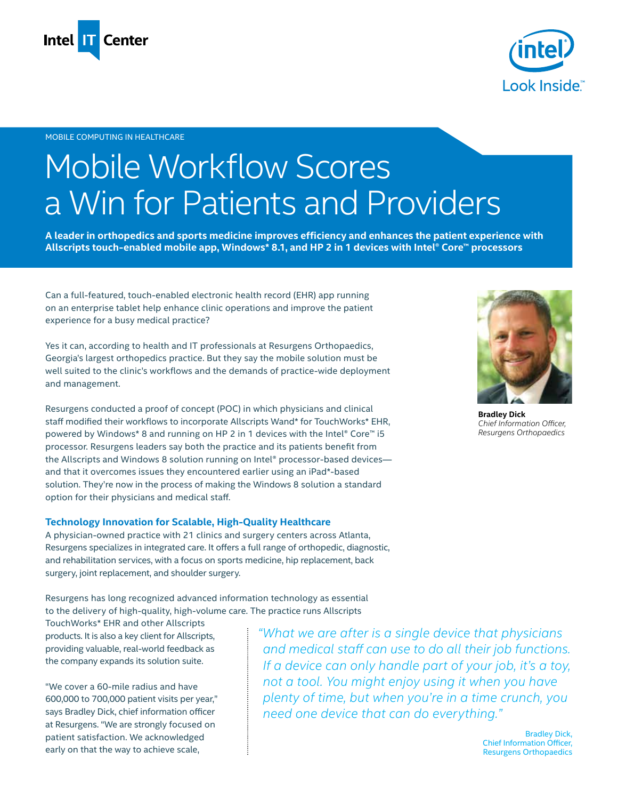



#### MOBILE COMPUTING IN HEALTHCARE

# Mobile Workflow Scores a Win for Patients and Providers

**A leader in orthopedics and sports medicine improves efficiency and enhances the patient experience with Allscripts touch-enabled mobile app, Windows\* 8.1, and HP 2 in 1 devices with Intel® Core™ processors** 

Can a full-featured, touch-enabled electronic health record (EHR) app running on an enterprise tablet help enhance clinic operations and improve the patient experience for a busy medical practice?

Yes it can, according to health and IT professionals at Resurgens Orthopaedics, Georgia's largest orthopedics practice. But they say the mobile solution must be well suited to the clinic's workflows and the demands of practice-wide deployment and management.

Resurgens conducted a proof of concept (POC) in which physicians and clinical staff modified their workflows to incorporate Allscripts Wand\* for TouchWorks\* EHR, powered by Windows\* 8 and running on HP 2 in 1 devices with the Intel® Core™ i5 processor. Resurgens leaders say both the practice and its patients benefit from the Allscripts and Windows 8 solution running on Intel® processor-based devices and that it overcomes issues they encountered earlier using an iPad\*-based solution. They're now in the process of making the Windows 8 solution a standard option for their physicians and medical staff.

#### **Technology Innovation for Scalable, High-Quality Healthcare**

A physician-owned practice with 21 clinics and surgery centers across Atlanta, Resurgens specializes in integrated care. It offers a full range of orthopedic, diagnostic, and rehabilitation services, with a focus on sports medicine, hip replacement, back surgery, joint replacement, and shoulder surgery.

Resurgens has long recognized advanced information technology as essential to the delivery of high-quality, high-volume care. The practice runs Allscripts

TouchWorks\* EHR and other Allscripts products. It is also a key client for Allscripts, providing valuable, real-world feedback as the company expands its solution suite.

"We cover a 60-mile radius and have 600,000 to 700,000 patient visits per year," says Bradley Dick, chief information officer at Resurgens. "We are strongly focused on patient satisfaction. We acknowledged early on that the way to achieve scale,

*"What we are after is a single device that physicians*  and medical staff can use to do all their job functions. *If a device can only handle part of your job, it's a toy, not a tool. You might enjoy using it when you have plenty of time, but when you're in a time crunch, you need one device that can do everything."* 

> Bradley Dick, Chief Information Officer, Resurgens Orthopaedics



**Bradley Dick** Chief Information Officer,  $Resurgens$  Orthopaedics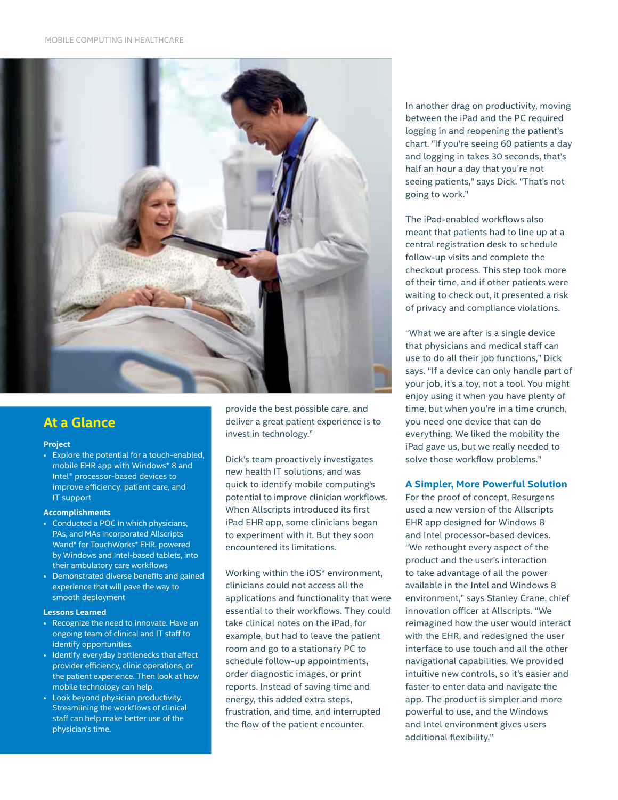

# **At a Glance**

#### **Project**

• Explore the potential for a touch-enabled, mobile EHR app with Windows\* 8 and Intel<sup>®</sup> processor-based devices to improve efficiency, patient care, and IT support

#### **Accomplishments**

- Conducted a POC in which physicians, PAs, and MAs incorporated Allscripts Wand\* for TouchWorks\* EHR, powered by Windows and Intel-based tablets, into their ambulatory care workflows
- Demonstrated diverse benefits and gained experience that will pave the way to smooth deployment

#### **Lessons Learned**

- Recognize the need to innovate. Have an ongoing team of clinical and IT staff to identify opportunities.
- Identify everyday bottlenecks that affect provider efficiency, clinic operations, or the patient experience. Then look at how mobile technology can help.
- Look beyond physician productivity. Streamlining the workflows of clinical staff can help make better use of the physician's time.

provide the best possible care, and deliver a great patient experience is to invest in technology."

Dick's team proactively investigates new health IT solutions, and was quick to identify mobile computing's potential to improve clinician workflows. When Allscripts introduced its first iPad EHR app, some clinicians began to experiment with it. But they soon encountered its limitations.

Working within the iOS\* environment, clinicians could not access all the applications and functionality that were essential to their workflows. They could take clinical notes on the iPad, for example, but had to leave the patient room and go to a stationary PC to schedule follow-up appointments, order diagnostic images, or print reports. Instead of saving time and energy, this added extra steps, frustration, and time, and interrupted the flow of the patient encounter.

In another drag on productivity, moving between the iPad and the PC required logging in and reopening the patient's chart. "If you're seeing 60 patients a day and logging in takes 30 seconds, that's half an hour a day that you're not seeing patients," says Dick. "That's not going to work."

The iPad-enabled workflows also meant that patients had to line up at a central registration desk to schedule follow-up visits and complete the checkout process. This step took more of their time, and if other patients were waiting to check out, it presented a risk of privacy and compliance violations.

"What we are after is a single device that physicians and medical staff can use to do all their job functions," Dick says. "If a device can only handle part of your job, it's a toy, not a tool. You might enjoy using it when you have plenty of time, but when you're in a time crunch, you need one device that can do everything. We liked the mobility the iPad gave us, but we really needed to solve those workflow problems."

#### **A Simpler, More Powerful Solution**

For the proof of concept, Resurgens used a new version of the Allscripts EHR app designed for Windows 8 and Intel processor-based devices. "We rethought every aspect of the product and the user's interaction to take advantage of all the power available in the Intel and Windows 8 environment," says Stanley Crane, chief innovation officer at Allscripts. "We reimagined how the user would interact with the EHR, and redesigned the user interface to use touch and all the other navigational capabilities. We provided intuitive new controls, so it's easier and faster to enter data and navigate the app. The product is simpler and more powerful to use, and the Windows and Intel environment gives users additional flexibility."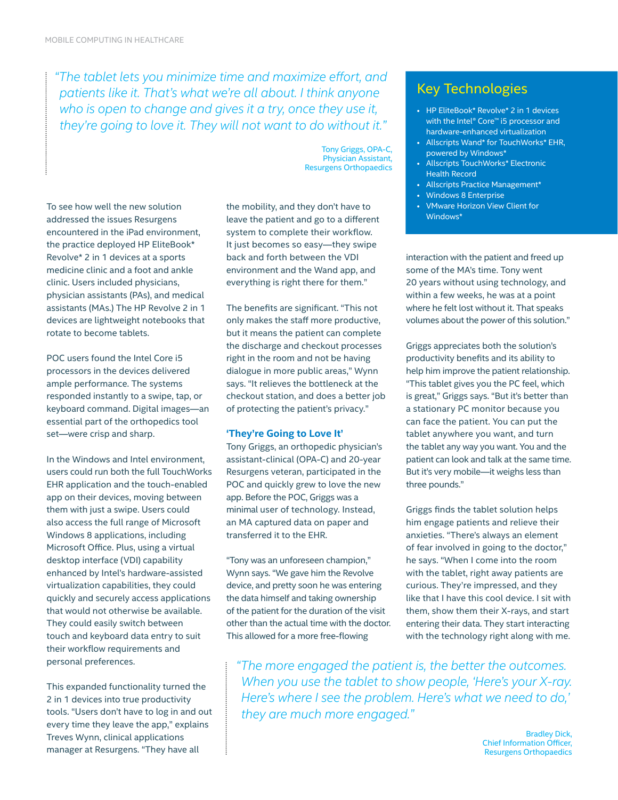*F* The tablet lets you minimize time and maximize effort, and patients like it. That's what we're all about. I think anyone *who is open to change and gives it a try, once they use it, they're going to love it. They will not want to do without it."* 

To see how well the new solution addressed the issues Resurgens encountered in the iPad environment, the practice deployed HP EliteBook\* Revolve\* 2 in 1 devices at a sports medicine clinic and a foot and ankle clinic. Users included physicians, physician assistants (PAs), and medical assistants (MAs.) The HP Revolve 2 in 1 devices are lightweight notebooks that rotate to become tablets.

POC users found the Intel Core i5 processors in the devices delivered ample performance. The systems responded instantly to a swipe, tap, or keyboard command. Digital images-an essential part of the orthopedics tool set-were crisp and sharp.

In the Windows and Intel environment, users could run both the full TouchWorks EHR application and the touch-enabled app on their devices, moving between them with just a swipe. Users could also access the full range of Microsoft Windows 8 applications, including Microsoft Office. Plus, using a virtual desktop interface (VDI) capability enhanced by Intel's hardware-assisted virtualization capabilities, they could quickly and securely access applications that would not otherwise be available. They could easily switch between touch and keyboard data entry to suit their workflow requirements and personal preferences.

This expanded functionality turned the 2 in 1 devices into true productivity tools. "Users don't have to log in and out every time they leave the app," explains Treves Wynn, clinical applications manager at Resurgens. "They have all

the mobility, and they don't have to leave the patient and go to a different system to complete their workflow. It just becomes so easy-they swipe back and forth between the VDI environment and the Wand app, and everything is right there for them."

Tony Griggs, OPA-C, Physician Assistant, Resurgens Orthopaedics

The benefits are significant. "This not only makes the staff more productive, but it means the patient can complete the discharge and checkout processes right in the room and not be having dialogue in more public areas," Wynn says. "It relieves the bottleneck at the checkout station, and does a better job of protecting the patient's privacy."

## **'They're Going to Love It'**

Tony Griggs, an orthopedic physician's assistant-clinical (OPA-C) and 20-year Resurgens veteran, participated in the POC and quickly grew to love the new app. Before the POC, Griggs was a minimal user of technology. Instead, an MA captured data on paper and transferred it to the EHR.

"Tony was an unforeseen champion," Wynn says. "We gave him the Revolve device, and pretty soon he was entering the data himself and taking ownership of the patient for the duration of the visit other than the actual time with the doctor. This allowed for a more free-flowing

# Key Technologies

- HP EliteBook\* Revolve\* 2 in 1 devices with the Intel® Core™ i5 processor and hardware-enhanced virtualization
- Allscripts Wand\* for TouchWorks\* EHR, powered by Windows\*
- Allscripts TouchWorks\* Electronic Health Record
- Allscripts Practice Management\*
- Windows 8 Enterprise
- VMware Horizon View Client for Windows\*

interaction with the patient and freed up some of the MA's time. Tony went 20 years without using technology, and within a few weeks, he was at a point where he felt lost without it. That speaks volumes about the power of this solution."

Griggs appreciates both the solution's productivity benefits and its ability to help him improve the patient relationship. "This tablet gives you the PC feel, which is great," Griggs says. "But it's better than a stationary PC monitor because you can face the patient. You can put the tablet anywhere you want, and turn the tablet any way you want. You and the patient can look and talk at the same time. But it's very mobile-it weighs less than three pounds."

Griggs finds the tablet solution helps him engage patients and relieve their anxieties. "There's always an element of fear involved in going to the doctor," he says. "When I come into the room with the tablet, right away patients are curious. They're impressed, and they like that I have this cool device. I sit with them, show them their X-rays, and start entering their data. They start interacting with the technology right along with me.

*<del>"The more engaged the patient is, the better the outcomes.*</del> *When you use the tablet to show people, 'Here's your X-ray. Here's where I see the problem. Here's what we need to do,' they are much more engaged.*"